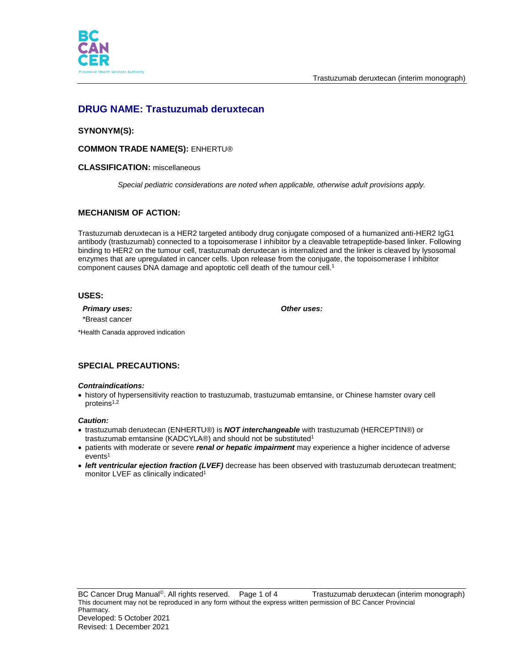



# **DRUG NAME: Trastuzumab deruxtecan**

## **SYNONYM(S):**

### **COMMON TRADE NAME(S):** ENHERTU®

### **CLASSIFICATION:** miscellaneous

*Special pediatric considerations are noted when applicable, otherwise adult provisions apply.*

## **MECHANISM OF ACTION:**

Trastuzumab deruxtecan is a HER2 targeted antibody drug conjugate composed of a humanized anti-HER2 IgG1 antibody (trastuzumab) connected to a topoisomerase I inhibitor by a cleavable tetrapeptide-based linker. Following binding to HER2 on the tumour cell, trastuzumab deruxtecan is internalized and the linker is cleaved by lysosomal enzymes that are upregulated in cancer cells. Upon release from the conjugate, the topoisomerase I inhibitor component causes DNA damage and apoptotic cell death of the tumour cell. 1

### **USES:**

*Primary uses: Other uses:* \*Breast cancer

\*Health Canada approved indication

## **SPECIAL PRECAUTIONS:**

### *Contraindications:*

 history of hypersensitivity reaction to trastuzumab, trastuzumab emtansine, or Chinese hamster ovary cell proteins<sup>1,2</sup>

### *Caution:*

- trastuzumab deruxtecan (ENHERTU®) is *NOT interchangeable* with trastuzumab (HERCEPTIN®) or trastuzumab emtansine (KADCYLA®) and should not be substituted<sup>1</sup>
- patients with moderate or severe *renal or hepatic impairment* may experience a higher incidence of adverse  $e$ vents<sup>1</sup>
- *left ventricular ejection fraction (LVEF)* decrease has been observed with trastuzumab deruxtecan treatment; monitor LVEF as clinically indicated<sup>1</sup>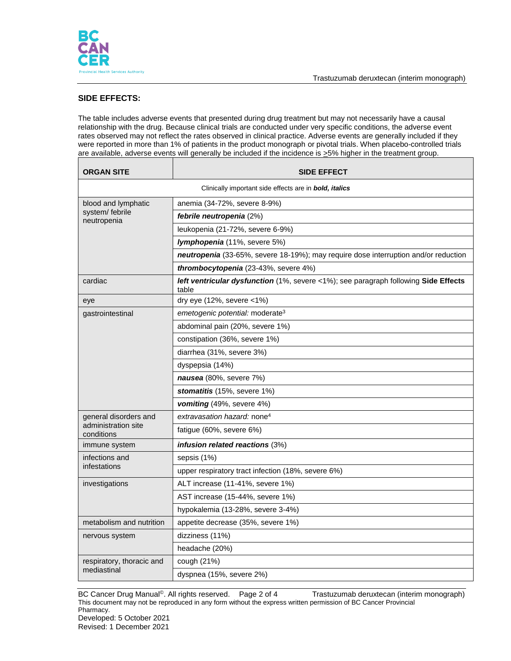

## **SIDE EFFECTS:**

The table includes adverse events that presented during drug treatment but may not necessarily have a causal relationship with the drug. Because clinical trials are conducted under very specific conditions, the adverse event rates observed may not reflect the rates observed in clinical practice. Adverse events are generally included if they were reported in more than 1% of patients in the product monograph or pivotal trials. When placebo-controlled trials are available, adverse events will generally be included if the incidence is  $\geq$ 5% higher in the treatment group.

| <b>ORGAN SITE</b>                                      | <b>SIDE EFFECT</b>                                                                           |  |
|--------------------------------------------------------|----------------------------------------------------------------------------------------------|--|
| Clinically important side effects are in bold, italics |                                                                                              |  |
| blood and lymphatic<br>system/febrile<br>neutropenia   | anemia (34-72%, severe 8-9%)                                                                 |  |
|                                                        | febrile neutropenia (2%)                                                                     |  |
|                                                        | leukopenia (21-72%, severe 6-9%)                                                             |  |
|                                                        | Iymphopenia (11%, severe 5%)                                                                 |  |
|                                                        | neutropenia (33-65%, severe 18-19%); may require dose interruption and/or reduction          |  |
|                                                        | thrombocytopenia (23-43%, severe 4%)                                                         |  |
| cardiac                                                | left ventricular dysfunction (1%, severe <1%); see paragraph following Side Effects<br>table |  |
| eye                                                    | dry eye (12%, severe <1%)                                                                    |  |
| gastrointestinal                                       | emetogenic potential: moderate <sup>3</sup>                                                  |  |
|                                                        | abdominal pain (20%, severe 1%)                                                              |  |
|                                                        | constipation (36%, severe 1%)                                                                |  |
|                                                        | diarrhea (31%, severe 3%)                                                                    |  |
|                                                        | dyspepsia (14%)                                                                              |  |
|                                                        | nausea (80%, severe 7%)                                                                      |  |
|                                                        | stomatitis (15%, severe 1%)                                                                  |  |
|                                                        | <b>vomiting</b> $(49\%$ , severe $4\%$                                                       |  |
| general disorders and                                  | extravasation hazard: none <sup>4</sup>                                                      |  |
| administration site<br>conditions                      | fatigue (60%, severe 6%)                                                                     |  |
| immune system                                          | infusion related reactions (3%)                                                              |  |
| infections and<br>infestations                         | sepsis (1%)                                                                                  |  |
|                                                        | upper respiratory tract infection (18%, severe 6%)                                           |  |
| investigations                                         | ALT increase (11-41%, severe 1%)                                                             |  |
|                                                        | AST increase (15-44%, severe 1%)                                                             |  |
|                                                        | hypokalemia (13-28%, severe 3-4%)                                                            |  |
| metabolism and nutrition                               | appetite decrease (35%, severe 1%)                                                           |  |
| nervous system                                         | dizziness (11%)                                                                              |  |
|                                                        | headache (20%)                                                                               |  |
| respiratory, thoracic and<br>mediastinal               | cough (21%)                                                                                  |  |
|                                                        | dyspnea (15%, severe 2%)                                                                     |  |

BC Cancer Drug Manual<sup>®</sup>. All rights reserved. Page 2 of 4 Trastuzumab deruxtecan (interim monograph) This document may not be reproduced in any form without the express written permission of BC Cancer Provincial Pharmacy.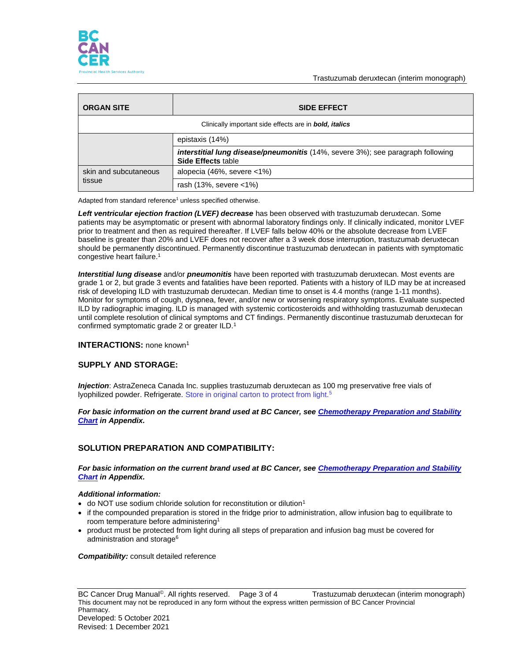

Trastuzumab deruxtecan (interim monograph)

| <b>ORGAN SITE</b>                                             | <b>SIDE EFFECT</b>                                                                                                  |  |
|---------------------------------------------------------------|---------------------------------------------------------------------------------------------------------------------|--|
| Clinically important side effects are in <b>bold, italics</b> |                                                                                                                     |  |
|                                                               | epistaxis (14%)                                                                                                     |  |
|                                                               | <b>interstitial lung disease/pneumonitis</b> (14%, severe 3%); see paragraph following<br><b>Side Effects table</b> |  |
| skin and subcutaneous<br>tissue                               | alopecia (46%, severe <1%)                                                                                          |  |
|                                                               | rash $(13\%$ , severe $<1\%$ )                                                                                      |  |

Adapted from standard reference<sup>1</sup> unless specified otherwise.

*Left ventricular ejection fraction (LVEF) decrease* has been observed with trastuzumab deruxtecan. Some patients may be asymptomatic or present with abnormal laboratory findings only. If clinically indicated, monitor LVEF prior to treatment and then as required thereafter. If LVEF falls below 40% or the absolute decrease from LVEF baseline is greater than 20% and LVEF does not recover after a 3 week dose interruption, trastuzumab deruxtecan should be permanently discontinued. Permanently discontinue trastuzumab deruxtecan in patients with symptomatic congestive heart failure. 1

*Interstitial lung disease* and/or *pneumonitis* have been reported with trastuzumab deruxtecan. Most events are grade 1 or 2, but grade 3 events and fatalities have been reported. Patients with a history of ILD may be at increased risk of developing ILD with trastuzumab deruxtecan. Median time to onset is 4.4 months (range 1-11 months). Monitor for symptoms of cough, dyspnea, fever, and/or new or worsening respiratory symptoms. Evaluate suspected ILD by radiographic imaging. ILD is managed with systemic corticosteroids and withholding trastuzumab deruxtecan until complete resolution of clinical symptoms and CT findings. Permanently discontinue trastuzumab deruxtecan for confirmed symptomatic grade 2 or greater ILD.<sup>1</sup>

### **INTERACTIONS:** none known<sup>1</sup>

### **SUPPLY AND STORAGE:**

*Injection*: AstraZeneca Canada Inc. supplies trastuzumab deruxtecan as 100 mg preservative free vials of lyophilized powder. Refrigerate. Store in original carton to protect from light.<sup>5</sup>

*For basic information on the current brand used at BC Cancer, see [Chemotherapy Preparation and Stability](http://www.bccancer.bc.ca/HPI/DrugDatabase/Appendices/default.htm#chemochart)  [Chart](http://www.bccancer.bc.ca/HPI/DrugDatabase/Appendices/default.htm#chemochart) in Appendix.*

### **SOLUTION PREPARATION AND COMPATIBILITY:**

*For basic information on the current brand used at BC Cancer, see [Chemotherapy Preparation and Stability](http://www.bccancer.bc.ca/HPI/DrugDatabase/Appendices/default.htm#chemochart)  [Chart](http://www.bccancer.bc.ca/HPI/DrugDatabase/Appendices/default.htm#chemochart) in Appendix.*

### *Additional information:*

- $\bullet$  do NOT use sodium chloride solution for reconstitution or dilution<sup>1</sup>
- if the compounded preparation is stored in the fridge prior to administration, allow infusion bag to equilibrate to room temperature before administering<sup>1</sup>
- product must be protected from light during all steps of preparation and infusion bag must be covered for administration and storage<sup>6</sup>

*Compatibility:* consult detailed reference